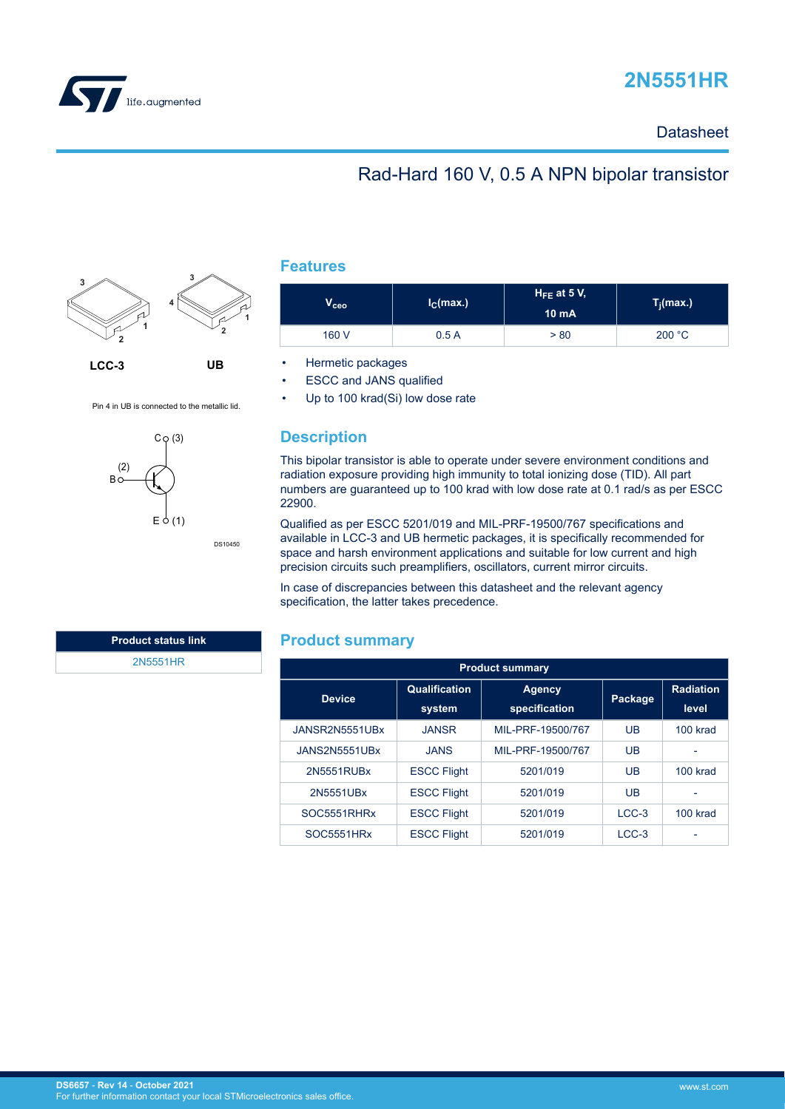

# **2N5551HR**

### **Datasheet**

## Rad-Hard 160 V, 0.5 A NPN bipolar transistor



Pin 4 in UB is connected to the metallic lid.



DS10450

|  | 11  | Τ |  |
|--|-----|---|--|
|  | . . |   |  |

| $\bm{{\mathsf{V}}_{\mathsf{ceo}}}$ | I <sub>C</sub> (max.) |      | $T_j(max.)$ |  |
|------------------------------------|-----------------------|------|-------------|--|
| 160 V                              | 0.5A                  | > 80 | 200 °C      |  |

• Hermetic packages

- **ESCC and JANS qualified**
- Up to 100 krad(Si) low dose rate

### **Description**

This bipolar transistor is able to operate under severe environment conditions and radiation exposure providing high immunity to total ionizing dose (TID). All part numbers are guaranteed up to 100 krad with low dose rate at 0.1 rad/s as per ESCC 22900.

Qualified as per ESCC 5201/019 and MIL-PRF-19500/767 specifications and available in LCC-3 and UB hermetic packages, it is specifically recommended for space and harsh environment applications and suitable for low current and high precision circuits such preamplifiers, oscillators, current mirror circuits.

In case of discrepancies between this datasheet and the relevant agency specification, the latter takes precedence.

#### **Product summary**

| <b>Product summary</b> |                                |                                |         |                            |  |  |
|------------------------|--------------------------------|--------------------------------|---------|----------------------------|--|--|
| <b>Device</b>          | <b>Qualification</b><br>system | <b>Agency</b><br>specification | Package | <b>Radiation</b><br>level. |  |  |
| JANSR2N5551UBx         | <b>JANSR</b>                   | MIL-PRF-19500/767              | UB      | 100 krad                   |  |  |
| JANS2N5551UBx          | <b>JANS</b>                    | MIL-PRF-19500/767              | UB      |                            |  |  |
| 2N5551RUBx             | <b>ESCC Flight</b>             | 5201/019                       | UB      | 100 krad                   |  |  |
| 2N5551UBx              | <b>ESCC Flight</b>             | 5201/019                       | UB      |                            |  |  |
| SOC5551RHRx            | <b>ESCC Flight</b>             | 5201/019                       | $LCC-3$ | 100 krad                   |  |  |
| <b>SOC5551HRx</b>      | <b>ESCC Flight</b>             | 5201/019                       | $LCC-3$ |                            |  |  |

**Product status link**

[2N5551HR](https://www.st.com/en/product/2n5551hr?ecmp=tt9470_gl_link_feb2019&rt=ds&id=DS6657)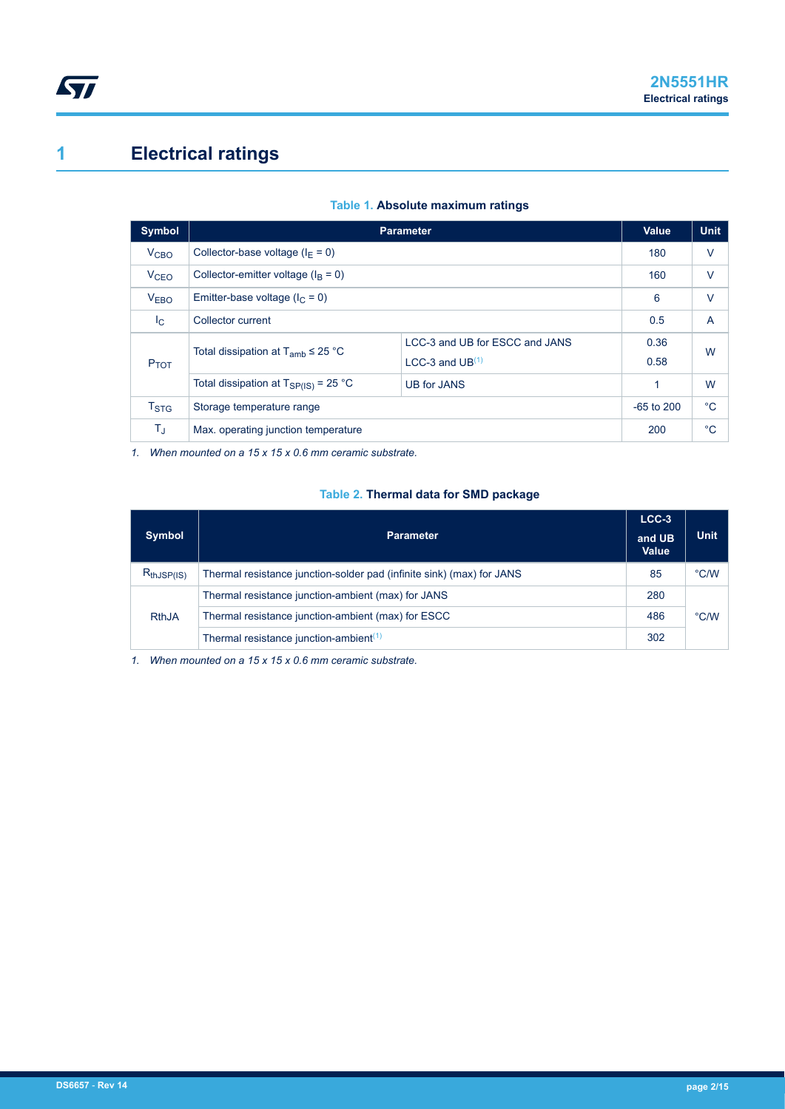# **1 Electrical ratings**

<span id="page-1-0"></span>ST

| <b>Symbol</b>    | <b>Parameter</b>                                                | <b>Value</b>                   | <b>Unit</b> |              |
|------------------|-----------------------------------------------------------------|--------------------------------|-------------|--------------|
| V <sub>CBO</sub> | Collector-base voltage ( $I_F = 0$ )                            |                                | 180         | V            |
| V <sub>CEO</sub> | Collector-emitter voltage ( $IB = 0$ )                          |                                | 160         | $\vee$       |
| <b>VEBO</b>      | Emitter-base voltage ( $I_C = 0$ )                              | 6                              | $\vee$      |              |
| $I_{\rm C}$      | Collector current                                               | 0.5                            | A           |              |
|                  | Total dissipation at $T_{amb} \leq 25$ °C                       | LCC-3 and UB for ESCC and JANS | 0.36        | W            |
| P <sub>TOT</sub> |                                                                 | LCC-3 and $UB(1)$              | 0.58        |              |
|                  | Total dissipation at $T_{SP(IS)} = 25 °C$<br><b>UB for JANS</b> |                                | 1           | W            |
| T <sub>STG</sub> | Storage temperature range                                       |                                |             | $^{\circ}C$  |
| $T_{\rm J}$      | Max. operating junction temperature                             |                                |             | $^{\circ}$ C |

#### **Table 1. Absolute maximum ratings**

*1. When mounted on a 15 x 15 x 0.6 mm ceramic substrate.*

#### **Table 2. Thermal data for SMD package**

|                 |                                                                       | $LCC-3$         |               |
|-----------------|-----------------------------------------------------------------------|-----------------|---------------|
| <b>Symbol</b>   | <b>Parameter</b>                                                      | and UB<br>Value | <b>Unit</b>   |
| $R_{thJSP(IS)}$ | Thermal resistance junction-solder pad (infinite sink) (max) for JANS | 85              | $\degree$ C/W |
|                 | Thermal resistance junction-ambient (max) for JANS                    | 280             |               |
| <b>RthJA</b>    | Thermal resistance junction-ambient (max) for ESCC                    | 486             | $\degree$ C/W |
|                 | Thermal resistance junction-ambient <sup>(1)</sup>                    | 302             |               |

*1. When mounted on a 15 x 15 x 0.6 mm ceramic substrate.*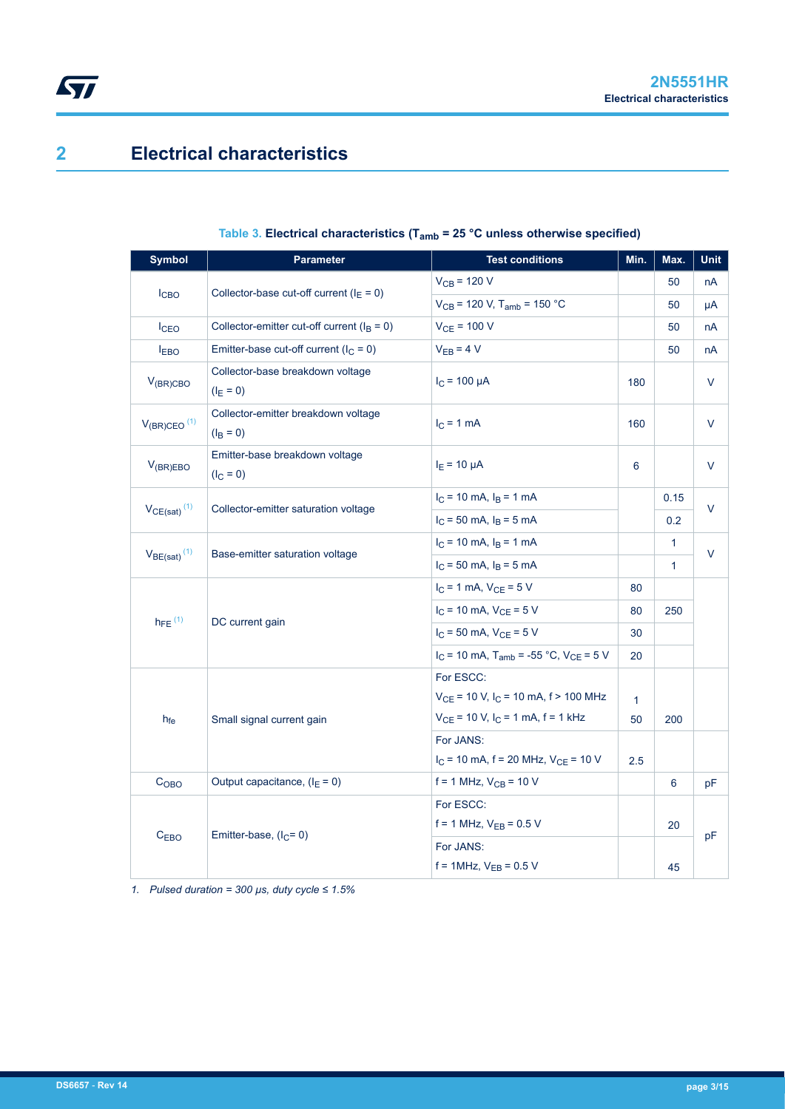## **2 Electrical characteristics**

| <b>Symbol</b>                | <b>Parameter</b>                                   | <b>Test conditions</b>                                          | Min.         | Max.         | <b>Unit</b> |  |
|------------------------------|----------------------------------------------------|-----------------------------------------------------------------|--------------|--------------|-------------|--|
|                              | Collector-base cut-off current ( $I_E = 0$ )       | $V_{CB} = 120 V$                                                |              | 50           | nA          |  |
| I <sub>CBO</sub>             |                                                    | $V_{CB}$ = 120 V, T <sub>amb</sub> = 150 °C                     |              | 50           | μA          |  |
| I <sub>CEO</sub>             | Collector-emitter cut-off current ( $I_B = 0$ )    | $V_{CE} = 100 V$                                                |              | 50           | nA          |  |
| <b>EBO</b>                   | Emitter-base cut-off current ( $I_C = 0$ )         | $V_{EB} = 4 V$                                                  |              | 50           | nA          |  |
| $V_{(BR)CBO}$                | Collector-base breakdown voltage<br>$(I_F = 0)$    | $I_C = 100 \mu A$                                               | 180          |              | V           |  |
| $V_{(BR)CEO}$ <sup>(1)</sup> | Collector-emitter breakdown voltage<br>$(I_B = 0)$ | $IC = 1 mA$                                                     | 160          |              | V           |  |
| $V_{(BR)EBO}$                | Emitter-base breakdown voltage<br>$(I_C = 0)$      | $IE = 10 \mu A$                                                 | 6            |              | V           |  |
|                              |                                                    | $I_C$ = 10 mA, $I_B$ = 1 mA                                     |              | 0.15         | V           |  |
| $V_{CE(sat)}$ <sup>(1)</sup> | Collector-emitter saturation voltage               | $I_C = 50$ mA, $I_B = 5$ mA                                     |              | 0.2          |             |  |
|                              |                                                    | $I_C = 10$ mA, $I_B = 1$ mA                                     |              | 1            | V           |  |
| $V_{BE(sat)}$ <sup>(1)</sup> | Base-emitter saturation voltage                    | $I_C$ = 50 mA, $I_B$ = 5 mA                                     |              | $\mathbf{1}$ |             |  |
|                              |                                                    | $I_C = 1$ mA, $V_{CE} = 5$ V                                    | 80           |              |             |  |
| $h_{FE}$ <sup>(1)</sup>      | DC current gain                                    | $I_C$ = 10 mA, $V_{CE}$ = 5 V                                   | 80           | 250          |             |  |
|                              |                                                    | $I_C = 50$ mA, $V_{CE} = 5$ V                                   | 30           |              |             |  |
|                              |                                                    | $I_C$ = 10 mA, T <sub>amb</sub> = -55 °C, V <sub>CE</sub> = 5 V | 20           |              |             |  |
|                              |                                                    | For ESCC:                                                       |              |              |             |  |
|                              |                                                    | $V_{CE}$ = 10 V, I <sub>C</sub> = 10 mA, f > 100 MHz            | $\mathbf{1}$ |              |             |  |
| $h_{fe}$                     | Small signal current gain                          | $V_{CE}$ = 10 V, I <sub>C</sub> = 1 mA, f = 1 kHz               | 50           | 200          |             |  |
|                              |                                                    | For JANS:                                                       |              |              |             |  |
|                              |                                                    | $I_C$ = 10 mA, f = 20 MHz, $V_{CE}$ = 10 V                      | 2.5          |              |             |  |
| C <sub>OBO</sub>             | Output capacitance, $(I_E = 0)$                    | $f = 1$ MHz, $V_{CB} = 10$ V                                    |              | 6            | pF          |  |
|                              |                                                    | For ESCC:                                                       |              |              |             |  |
| $C_{EBO}$                    | Emitter-base, $(lC=0)$                             | $f = 1$ MHz, $V_{EB} = 0.5$ V                                   |              | 20           | pF          |  |
|                              |                                                    | For JANS:                                                       |              |              |             |  |
|                              |                                                    | $f = 1$ MHz, $V_{EB} = 0.5$ V                                   |              | 45           |             |  |

### **Table 3. Electrical characteristics (Tamb = 25 °C unless otherwise specified)**

*1. Pulsed duration = 300 µs, duty cycle ≤ 1.5%*

<span id="page-2-0"></span> $\sqrt{2}$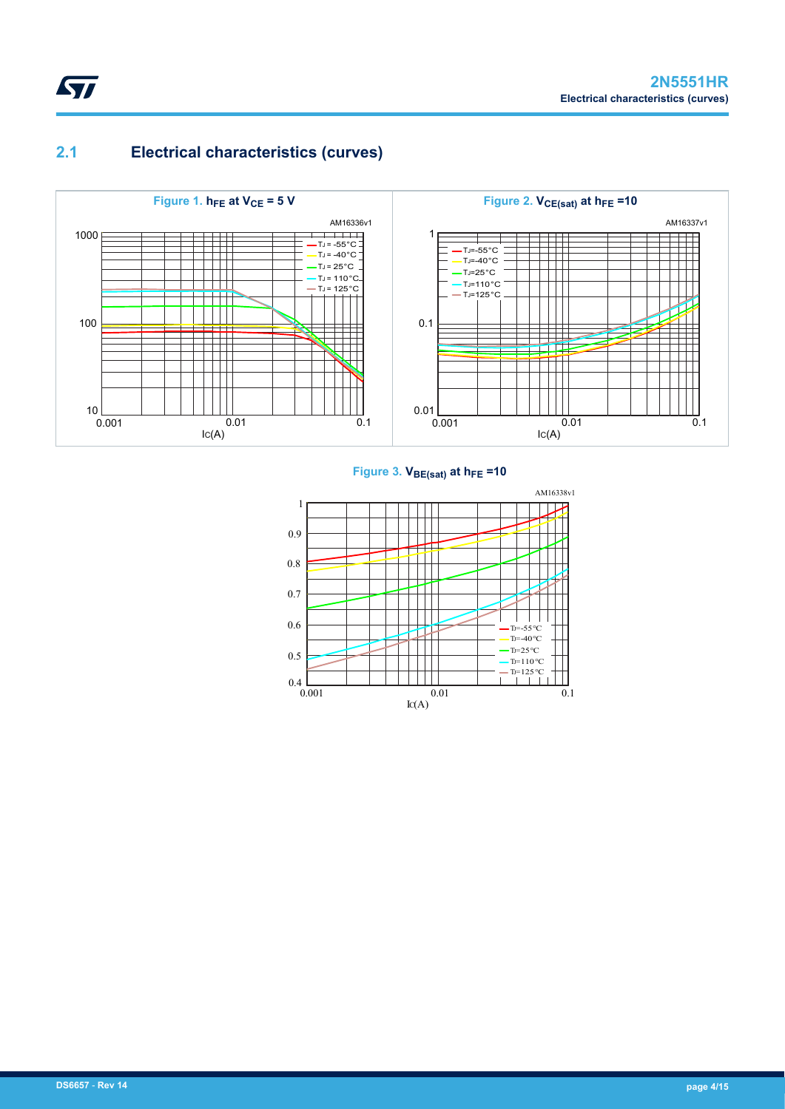## **2.1 Electrical characteristics (curves)**

<span id="page-3-0"></span>ST



#### **Figure 3. VBE(sat) at hFE =10**

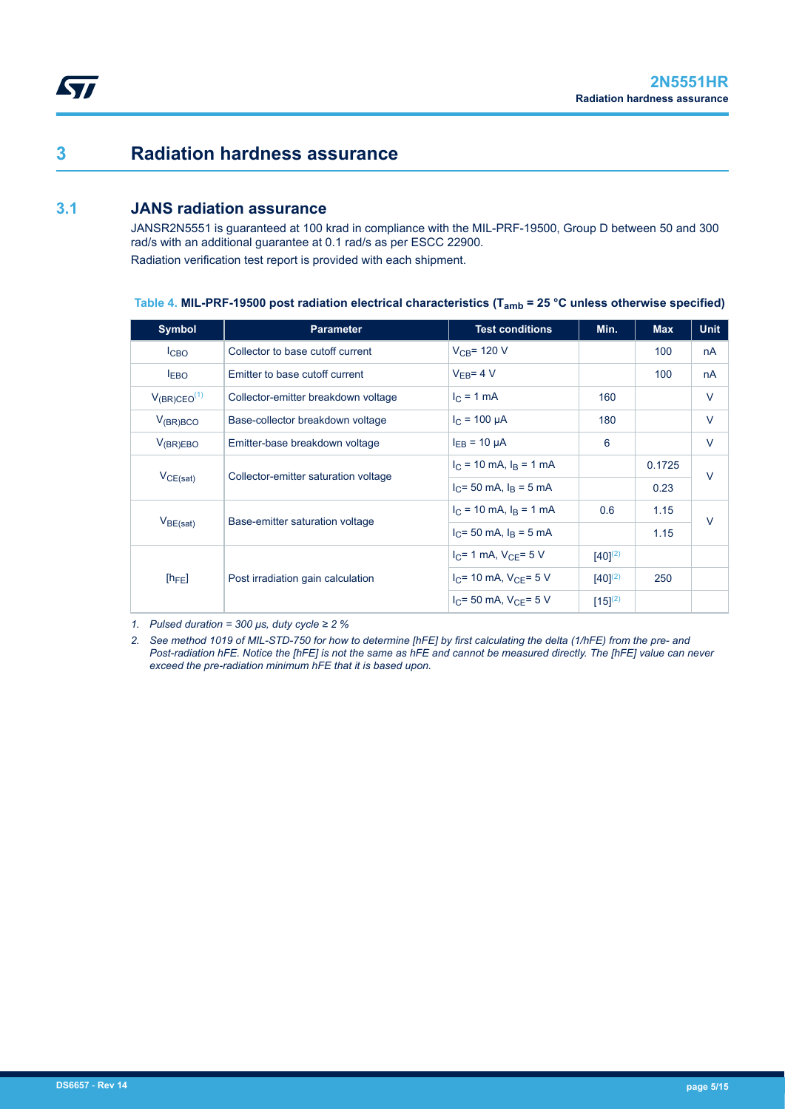## **3 Radiation hardness assurance**

### **3.1 JANS radiation assurance**

<span id="page-4-0"></span>**ST** 

JANSR2N5551 is guaranteed at 100 krad in compliance with the MIL-PRF-19500, Group D between 50 and 300 rad/s with an additional guarantee at 0.1 rad/s as per ESCC 22900. Radiation verification test report is provided with each shipment.

| Table 4. MIL-PRF-19500 post radiation electrical characteristics ( $T_{amb}$ = 25 °C unless otherwise specified) |  |
|------------------------------------------------------------------------------------------------------------------|--|
|------------------------------------------------------------------------------------------------------------------|--|

| <b>Symbol</b>       | <b>Parameter</b>                     | <b>Test conditions</b>        | Min.         | <b>Max</b> | <b>Unit</b> |
|---------------------|--------------------------------------|-------------------------------|--------------|------------|-------------|
| I <sub>CBO</sub>    | Collector to base cutoff current     | $V_{CB}$ = 120 V              |              | 100        | nA          |
| I <sub>EBO</sub>    | Emitter to base cutoff current       | $V_{FR} = 4 V$                |              | 100        | nA          |
| $V_{(BR)CEO}^{(1)}$ | Collector-emitter breakdown voltage  | $I_C = 1$ mA                  | 160          |            | V           |
| $V_{(BR)BCO}$       | Base-collector breakdown voltage     | $I_C = 100 \mu A$             | 180          |            | V           |
| $V_{(BR)EBO}$       | Emitter-base breakdown voltage       | $I_{FR}$ = 10 $\mu$ A         | 6            |            | $\vee$      |
|                     |                                      | $I_C = 10$ mA, $I_B = 1$ mA   |              | 0.1725     | $\vee$      |
| $V_{CE(sat)}$       | Collector-emitter saturation voltage | $I_C$ = 50 mA, $I_R$ = 5 mA   |              | 0.23       |             |
|                     |                                      | $I_C = 10$ mA, $I_B = 1$ mA   | 0.6          | 1.15       | $\vee$      |
| $V_{BE(sat)}$       | Base-emitter saturation voltage      | $I_C$ = 50 mA, $I_R$ = 5 mA   |              | 1.15       |             |
|                     |                                      | $I_C = 1$ mA, $V_{CF} = 5$ V  | $[40]^{(2)}$ |            |             |
| $[h_{FE}]$          | Post irradiation gain calculation    | $I_C$ = 10 mA, $V_{CF}$ = 5 V | $[40]^{(2)}$ | 250        |             |
|                     |                                      | $I_C = 50$ mA, $V_{CF} = 5$ V | $[15]^{(2)}$ |            |             |

*1. Pulsed duration = 300 μs, duty cycle ≥ 2 %*

*2. See method 1019 of MIL-STD-750 for how to determine [hFE] by first calculating the delta (1/hFE) from the pre- and Post-radiation hFE. Notice the [hFE] is not the same as hFE and cannot be measured directly. The [hFE] value can never exceed the pre-radiation minimum hFE that it is based upon.*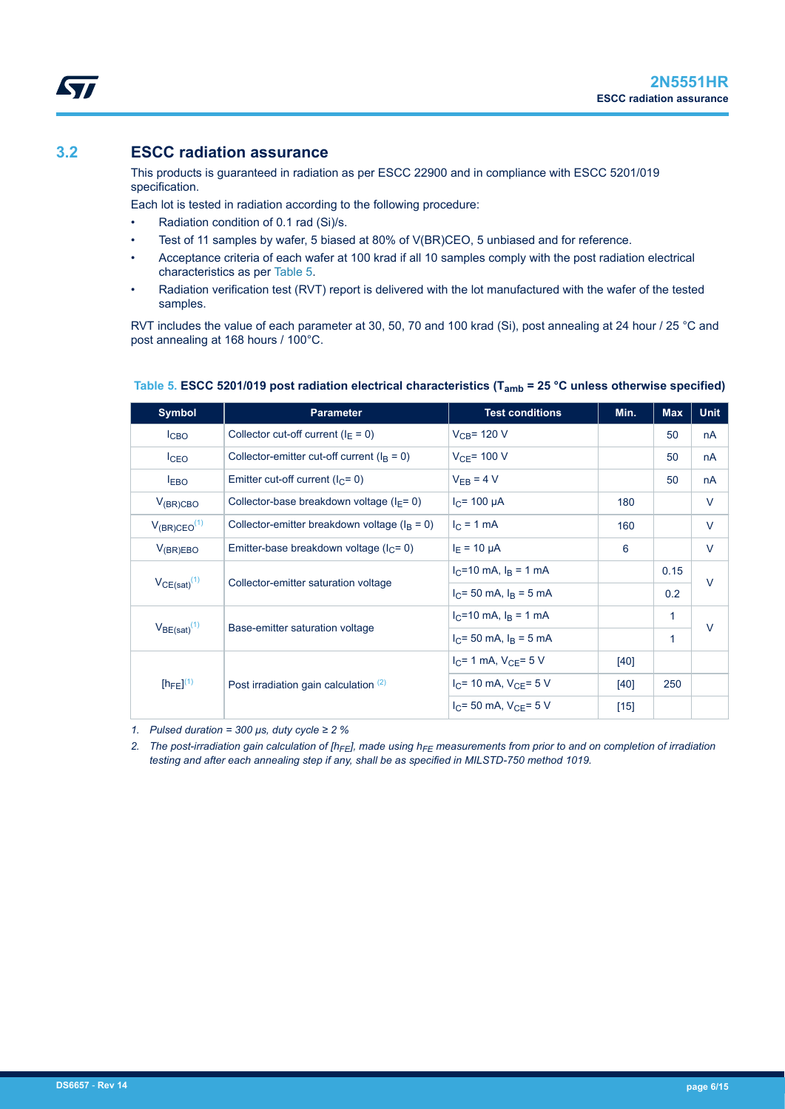### <span id="page-5-0"></span>**3.2 ESCC radiation assurance**

This products is guaranteed in radiation as per ESCC 22900 and in compliance with ESCC 5201/019 specification.

Each lot is tested in radiation according to the following procedure:

- Radiation condition of 0.1 rad (Si)/s.
- Test of 11 samples by wafer, 5 biased at 80% of V(BR)CEO, 5 unbiased and for reference.
- Acceptance criteria of each wafer at 100 krad if all 10 samples comply with the post radiation electrical characteristics as per Table 5.
- Radiation verification test (RVT) report is delivered with the lot manufactured with the wafer of the tested samples.

RVT includes the value of each parameter at 30, 50, 70 and 100 krad (Si), post annealing at 24 hour / 25 °C and post annealing at 168 hours / 100°C.

| <b>Symbol</b>       | <b>Parameter</b>                                 | <b>Test conditions</b>        | Min.   | <b>Max</b> | <b>Unit</b> |  |
|---------------------|--------------------------------------------------|-------------------------------|--------|------------|-------------|--|
| I <sub>CBO</sub>    | Collector cut-off current ( $I_F = 0$ )          | $V_{CB}$ = 120 V              |        | 50         | nA          |  |
| $I_{CEO}$           | Collector-emitter cut-off current ( $IB = 0$ )   | $V_{CE}$ = 100 V              |        | 50         | nA          |  |
| <b>EBO</b>          | Emitter cut-off current ( $IC = 0$ )             | $V_{FB} = 4 V$                |        | 50         | nA          |  |
| $V_{(BR)CBO}$       | Collector-base breakdown voltage ( $I_F$ = 0)    | $I_C$ = 100 µA                | 180    |            | V           |  |
| $V_{(BR)CEO}^{(1)}$ | Collector-emitter breakdown voltage ( $IB = 0$ ) | $I_C = 1$ mA                  | 160    |            | V           |  |
| $V_{(BR)EBO}$       | Emitter-base breakdown voltage ( $lC = 0$ )      | $I_F = 10 \mu A$              | 6      |            | V           |  |
|                     |                                                  | $I_C = 10$ mA, $I_B = 1$ mA   |        | 0.15       | $\vee$      |  |
| $V_{CE(sat)}^{(1)}$ | Collector-emitter saturation voltage             | $I_C$ = 50 mA, $I_B$ = 5 mA   |        | 0.2        |             |  |
| $V_{BE(sat)}(1)$    |                                                  | $I_C = 10$ mA, $I_R = 1$ mA   |        | 1          | $\vee$      |  |
|                     | Base-emitter saturation voltage                  | $I_C$ = 50 mA, $I_B$ = 5 mA   |        | 1          |             |  |
|                     |                                                  | $I_{C}$ = 1 mA, $V_{C}$ = 5 V | $[40]$ |            |             |  |
| $[h_{FE}]^{(1)}$    | Post irradiation gain calculation $(2)$          | $I_C$ = 10 mA, $V_{C}$ = 5 V  | [40]   | 250        |             |  |
|                     |                                                  | $I_C = 50$ mA, $V_{CF} = 5$ V | $[15]$ |            |             |  |

#### **Table 5. ESCC 5201/019 post radiation electrical characteristics (Tamb = 25 °C unless otherwise specified)**

*1. Pulsed duration = 300 μs, duty cycle ≥ 2 %*

*2. The post-irradiation gain calculation of [hFE], made using hFE measurements from prior to and on completion of irradiation testing and after each annealing step if any, shall be as specified in MILSTD-750 method 1019.*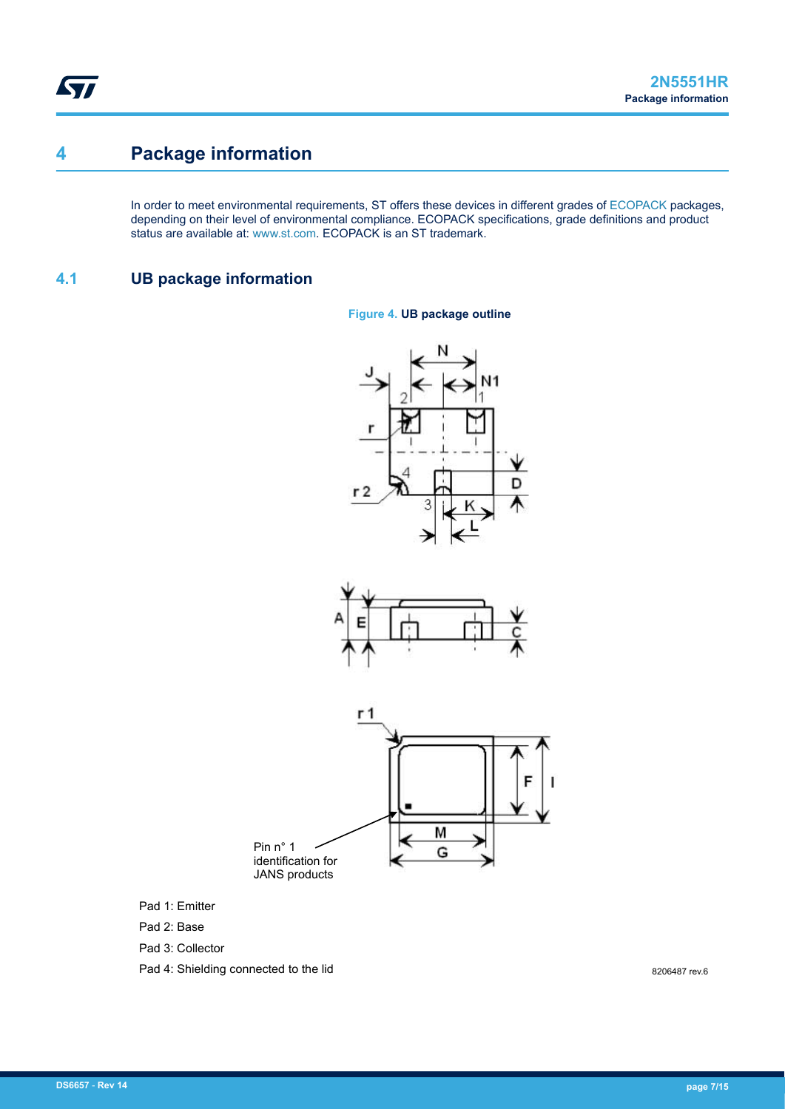## <span id="page-6-0"></span>**4 Package information**

In order to meet environmental requirements, ST offers these devices in different grades of [ECOPACK](https://www.st.com/ecopack) packages, depending on their level of environmental compliance. ECOPACK specifications, grade definitions and product status are available at: [www.st.com.](http://www.st.com) ECOPACK is an ST trademark.

**Figure 4. UB package outline**

### **4.1 UB package information**







Pad 1: Emitter

Pad 2: Base

Pad 3: Collector

Pad 4: Shielding connected to the lid

8206487 rev.6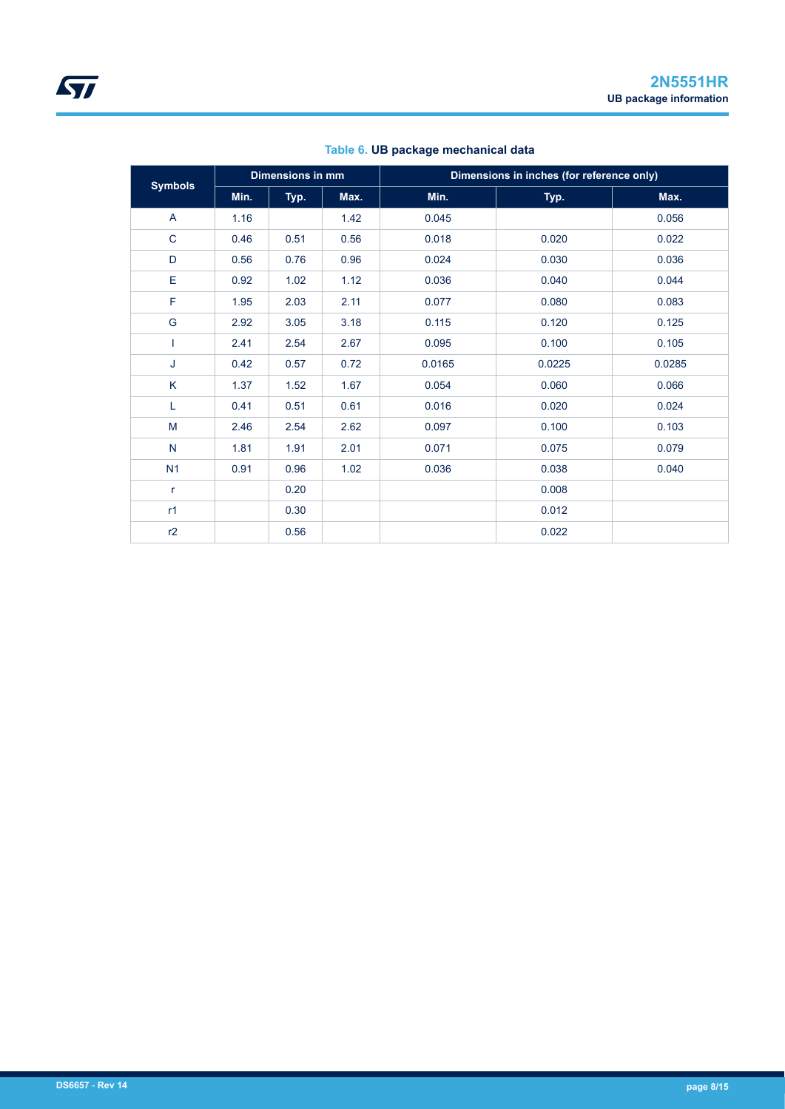| <b>Symbols</b> | Dimensions in mm |      | Dimensions in inches (for reference only) |        |        |        |
|----------------|------------------|------|-------------------------------------------|--------|--------|--------|
|                | Min.             | Typ. | Max.                                      | Min.   | Typ.   | Max.   |
| A              | 1.16             |      | 1.42                                      | 0.045  |        | 0.056  |
| $\mathbf C$    | 0.46             | 0.51 | 0.56                                      | 0.018  | 0.020  | 0.022  |
| D              | 0.56             | 0.76 | 0.96                                      | 0.024  | 0.030  | 0.036  |
| Ε              | 0.92             | 1.02 | 1.12                                      | 0.036  | 0.040  | 0.044  |
| F              | 1.95             | 2.03 | 2.11                                      | 0.077  | 0.080  | 0.083  |
| G              | 2.92             | 3.05 | 3.18                                      | 0.115  | 0.120  | 0.125  |
|                | 2.41             | 2.54 | 2.67                                      | 0.095  | 0.100  | 0.105  |
| J              | 0.42             | 0.57 | 0.72                                      | 0.0165 | 0.0225 | 0.0285 |
| K              | 1.37             | 1.52 | 1.67                                      | 0.054  | 0.060  | 0.066  |
| L              | 0.41             | 0.51 | 0.61                                      | 0.016  | 0.020  | 0.024  |
| M              | 2.46             | 2.54 | 2.62                                      | 0.097  | 0.100  | 0.103  |
| $\mathsf{N}$   | 1.81             | 1.91 | 2.01                                      | 0.071  | 0.075  | 0.079  |
| N <sub>1</sub> | 0.91             | 0.96 | 1.02                                      | 0.036  | 0.038  | 0.040  |
| $\mathsf{r}$   |                  | 0.20 |                                           |        | 0.008  |        |
| r1             |                  | 0.30 |                                           |        | 0.012  |        |
| r2             |                  | 0.56 |                                           |        | 0.022  |        |

#### **Table 6. UB package mechanical data**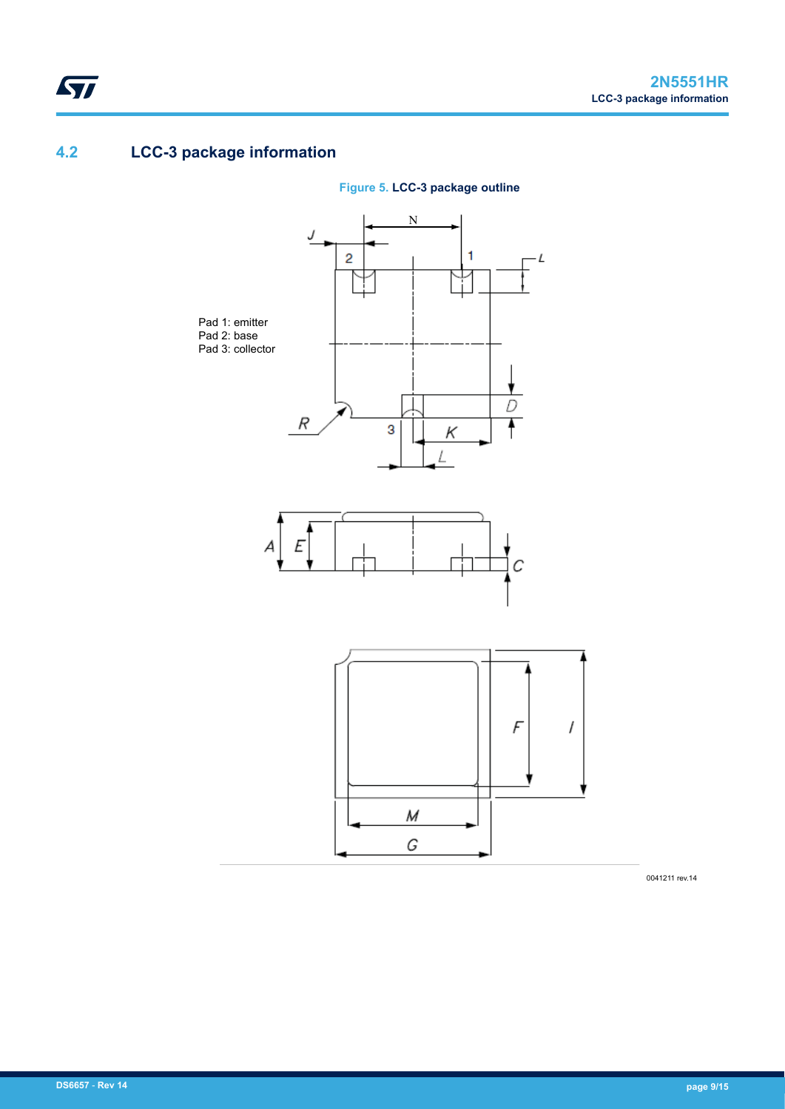## **4.2 LCC-3 package information**

<span id="page-8-0"></span>ST



**Figure 5. LCC-3 package outline**

0041211 rev.14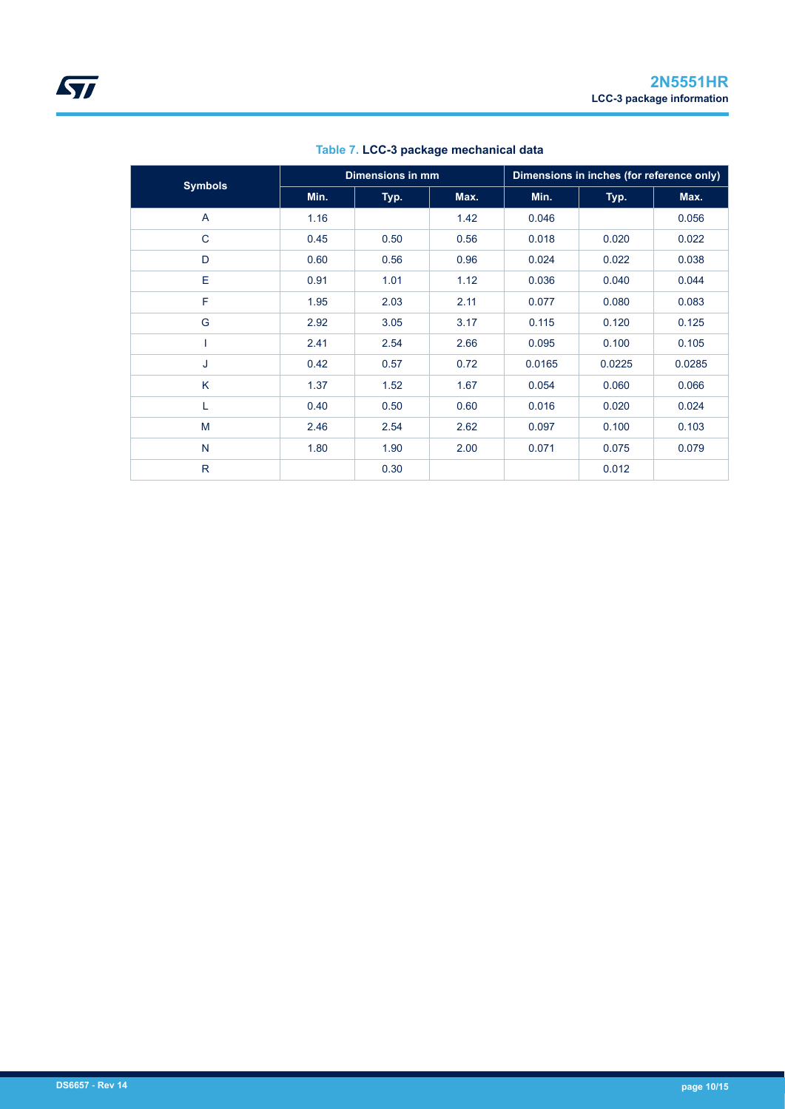|                |      | Dimensions in mm |      |        | Dimensions in inches (for reference only) |        |  |
|----------------|------|------------------|------|--------|-------------------------------------------|--------|--|
| <b>Symbols</b> | Min. | Typ.             | Max. | Min.   | Typ.                                      | Max.   |  |
| A              | 1.16 |                  | 1.42 | 0.046  |                                           | 0.056  |  |
| $\mathsf{C}$   | 0.45 | 0.50             | 0.56 | 0.018  | 0.020                                     | 0.022  |  |
| D              | 0.60 | 0.56             | 0.96 | 0.024  | 0.022                                     | 0.038  |  |
| Е              | 0.91 | 1.01             | 1.12 | 0.036  | 0.040                                     | 0.044  |  |
| F              | 1.95 | 2.03             | 2.11 | 0.077  | 0.080                                     | 0.083  |  |
| G              | 2.92 | 3.05             | 3.17 | 0.115  | 0.120                                     | 0.125  |  |
|                | 2.41 | 2.54             | 2.66 | 0.095  | 0.100                                     | 0.105  |  |
| J              | 0.42 | 0.57             | 0.72 | 0.0165 | 0.0225                                    | 0.0285 |  |
| K              | 1.37 | 1.52             | 1.67 | 0.054  | 0.060                                     | 0.066  |  |
| L              | 0.40 | 0.50             | 0.60 | 0.016  | 0.020                                     | 0.024  |  |
| M              | 2.46 | 2.54             | 2.62 | 0.097  | 0.100                                     | 0.103  |  |
| N              | 1.80 | 1.90             | 2.00 | 0.071  | 0.075                                     | 0.079  |  |
| $\mathsf{R}$   |      | 0.30             |      |        | 0.012                                     |        |  |

**Table 7. LCC-3 package mechanical data**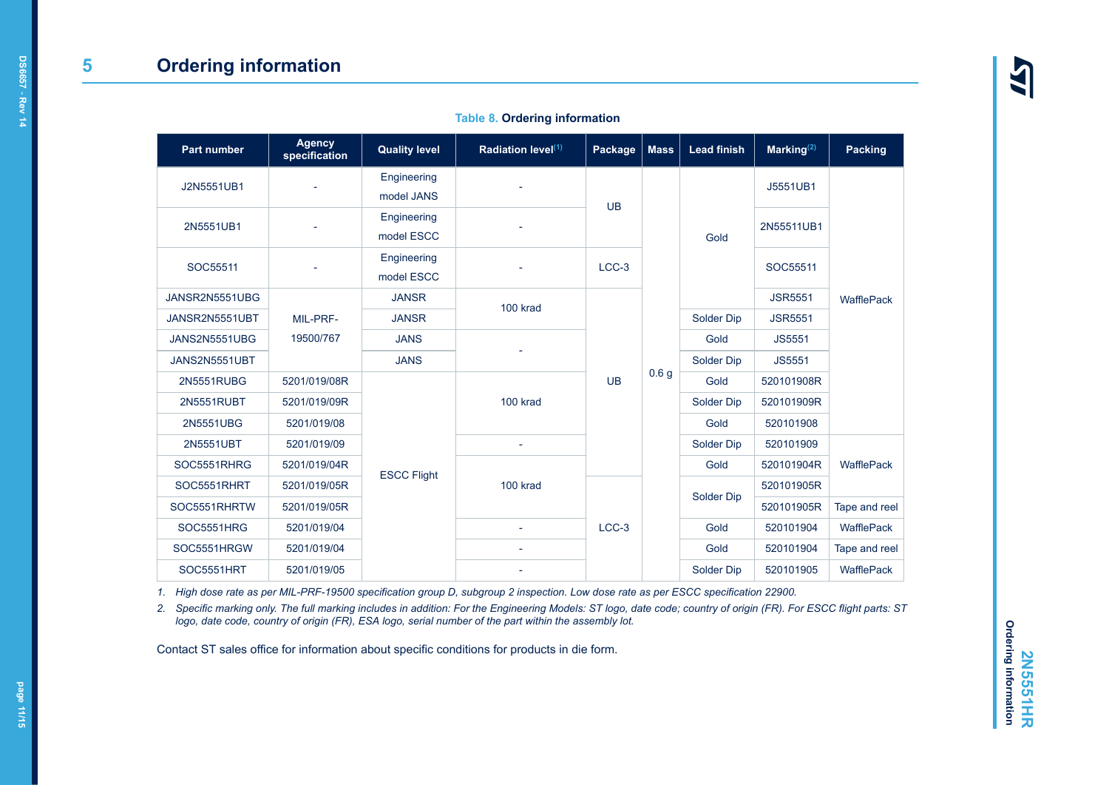|  |  | <b>Table 8. Ordering information</b> |
|--|--|--------------------------------------|
|--|--|--------------------------------------|

<span id="page-10-0"></span>

| Part number       | <b>Agency</b><br>specification | <b>Quality level</b> | Radiation level <sup>(1)</sup> | Package   | <b>Mass</b>      | <b>Lead finish</b> | Marking $(2)$  | <b>Packing</b>    |
|-------------------|--------------------------------|----------------------|--------------------------------|-----------|------------------|--------------------|----------------|-------------------|
| J2N5551UB1        |                                | Engineering          |                                | <b>UB</b> | 0.6 <sub>g</sub> | Gold               | J5551UB1       | WafflePack        |
|                   |                                | model JANS           |                                |           |                  |                    |                |                   |
| 2N5551UB1         |                                | Engineering          |                                |           |                  |                    | 2N55511UB1     |                   |
|                   |                                | model ESCC           |                                |           |                  |                    |                |                   |
| SOC55511          |                                | Engineering          |                                | LCC-3     |                  |                    | SOC55511       |                   |
|                   |                                | model ESCC           |                                |           |                  |                    |                |                   |
| JANSR2N5551UBG    | MIL-PRF-<br>19500/767          | <b>JANSR</b>         | 100 krad                       | <b>UB</b> |                  |                    | <b>JSR5551</b> |                   |
| JANSR2N5551UBT    |                                | <b>JANSR</b>         |                                |           |                  | Solder Dip         | <b>JSR5551</b> |                   |
| JANS2N5551UBG     |                                | <b>JANS</b>          |                                |           |                  | Gold               | <b>JS5551</b>  |                   |
| JANS2N5551UBT     |                                | <b>JANS</b>          |                                |           |                  | Solder Dip         | JS5551         |                   |
| 2N5551RUBG        | 5201/019/08R                   |                      |                                |           |                  | Gold               | 520101908R     |                   |
| 2N5551RUBT        | 5201/019/09R                   |                      | 100 krad                       |           |                  | Solder Dip         | 520101909R     |                   |
| 2N5551UBG         | 5201/019/08                    |                      |                                |           |                  | Gold               | 520101908      |                   |
| 2N5551UBT         | 5201/019/09                    |                      |                                |           |                  | Solder Dip         | 520101909      | <b>WafflePack</b> |
| SOC5551RHRG       | 5201/019/04R                   | <b>ESCC Flight</b>   | 100 krad                       |           |                  | Gold               | 520101904R     |                   |
| SOC5551RHRT       | 5201/019/05R                   |                      |                                | $LCC-3$   |                  | Solder Dip         | 520101905R     |                   |
| SOC5551RHRTW      | 5201/019/05R                   |                      |                                |           |                  |                    | 520101905R     | Tape and reel     |
| SOC5551HRG        | 5201/019/04                    |                      |                                |           |                  | Gold               | 520101904      | WafflePack        |
| SOC5551HRGW       | 5201/019/04                    |                      |                                |           |                  | Gold               | 520101904      | Tape and reel     |
| <b>SOC5551HRT</b> | 5201/019/05                    |                      |                                |           |                  | Solder Dip         | 520101905      | WafflePack        |

*1. High dose rate as per MIL-PRF-19500 specification group D, subgroup 2 inspection. Low dose rate as per ESCC specification 22900.*

*2. Specific marking only. The full marking includes in addition: For the Engineering Models: ST logo, date code; country of origin (FR). For ESCC flight parts: ST logo, date code, country of origin (FR), ESA logo, serial number of the part within the assembly lot.*

Contact ST sales office for information about specific conditions for products in die form.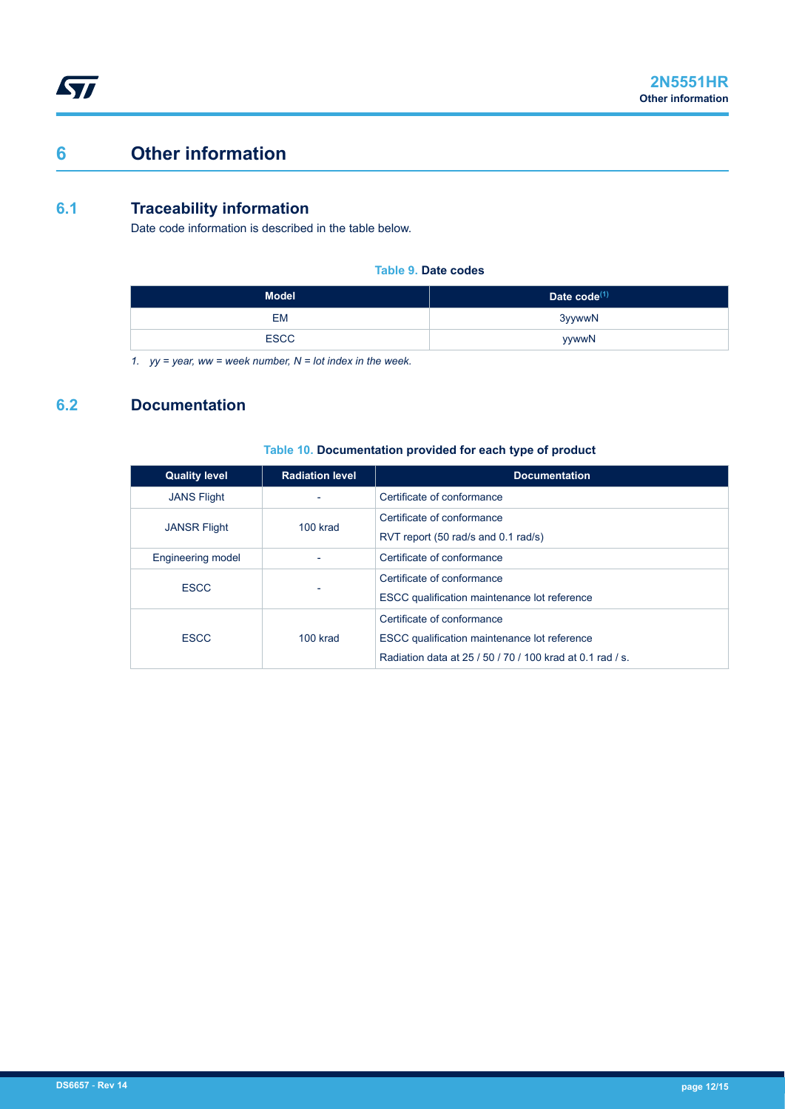# <span id="page-11-0"></span>**6 Other information**

### **6.1 Traceability information**

Date code information is described in the table below.

#### **Table 9. Date codes**

| <b>Model</b> | Date code <sup>(1)</sup> |
|--------------|--------------------------|
| <b>EM</b>    | 3yywwN                   |
| <b>ESCC</b>  | yywwN                    |

*1. yy = year, ww = week number, N = lot index in the week.*

## **6.2 Documentation**

#### **Table 10. Documentation provided for each type of product**

| <b>Quality level</b>     | <b>Radiation level</b> | <b>Documentation</b>                                      |  |  |
|--------------------------|------------------------|-----------------------------------------------------------|--|--|
| <b>JANS Flight</b>       |                        | Certificate of conformance                                |  |  |
| <b>JANSR Flight</b>      | 100 krad               | Certificate of conformance                                |  |  |
|                          |                        | RVT report (50 rad/s and 0.1 rad/s)                       |  |  |
| <b>Engineering model</b> |                        | Certificate of conformance                                |  |  |
| <b>ESCC</b>              |                        | Certificate of conformance                                |  |  |
|                          |                        | ESCC qualification maintenance lot reference              |  |  |
| <b>ESCC</b>              |                        | Certificate of conformance                                |  |  |
|                          | $100$ krad             | ESCC qualification maintenance lot reference              |  |  |
|                          |                        | Radiation data at 25 / 50 / 70 / 100 krad at 0.1 rad / s. |  |  |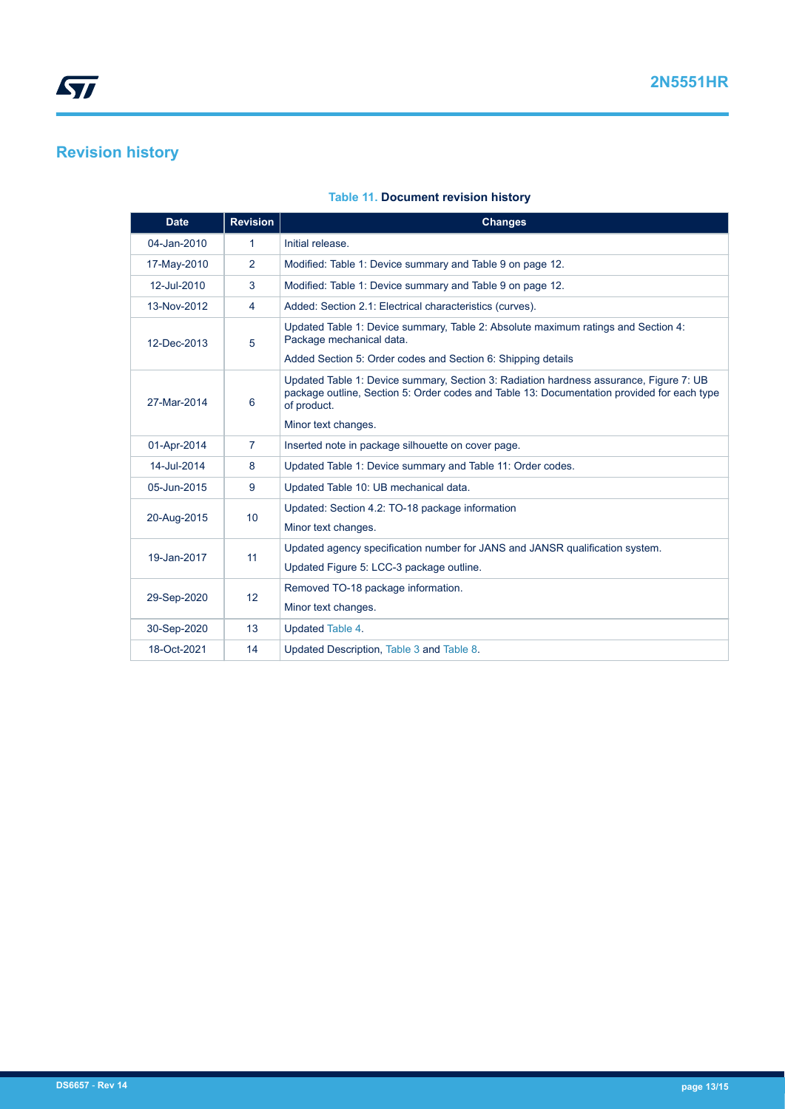# <span id="page-12-0"></span>**Revision history**

| <b>Date</b> | <b>Revision</b> | <b>Changes</b>                                                                                                                                                                                      |
|-------------|-----------------|-----------------------------------------------------------------------------------------------------------------------------------------------------------------------------------------------------|
| 04-Jan-2010 | 1               | Initial release.                                                                                                                                                                                    |
| 17-May-2010 | 2               | Modified: Table 1: Device summary and Table 9 on page 12.                                                                                                                                           |
| 12-Jul-2010 | 3               | Modified: Table 1: Device summary and Table 9 on page 12.                                                                                                                                           |
| 13-Nov-2012 | 4               | Added: Section 2.1: Electrical characteristics (curves).                                                                                                                                            |
| 12-Dec-2013 | 5               | Updated Table 1: Device summary, Table 2: Absolute maximum ratings and Section 4:<br>Package mechanical data.                                                                                       |
|             |                 | Added Section 5: Order codes and Section 6: Shipping details                                                                                                                                        |
| 27-Mar-2014 | 6               | Updated Table 1: Device summary, Section 3: Radiation hardness assurance, Figure 7: UB<br>package outline. Section 5: Order codes and Table 13: Documentation provided for each type<br>of product. |
|             |                 | Minor text changes.                                                                                                                                                                                 |
| 01-Apr-2014 | 7               | Inserted note in package silhouette on cover page.                                                                                                                                                  |
| 14-Jul-2014 | 8               | Updated Table 1: Device summary and Table 11: Order codes.                                                                                                                                          |
| 05-Jun-2015 | 9               | Updated Table 10: UB mechanical data.                                                                                                                                                               |
| 20-Aug-2015 | 10              | Updated: Section 4.2: TO-18 package information                                                                                                                                                     |
|             |                 | Minor text changes.                                                                                                                                                                                 |
| 19-Jan-2017 | 11              | Updated agency specification number for JANS and JANSR qualification system.                                                                                                                        |
|             |                 | Updated Figure 5: LCC-3 package outline.                                                                                                                                                            |
| 29-Sep-2020 | 12              | Removed TO-18 package information.                                                                                                                                                                  |
|             |                 | Minor text changes.                                                                                                                                                                                 |
| 30-Sep-2020 | 13              | Updated Table 4.                                                                                                                                                                                    |
| 18-Oct-2021 | 14              | Updated Description, Table 3 and Table 8.                                                                                                                                                           |

#### **Table 11. Document revision history**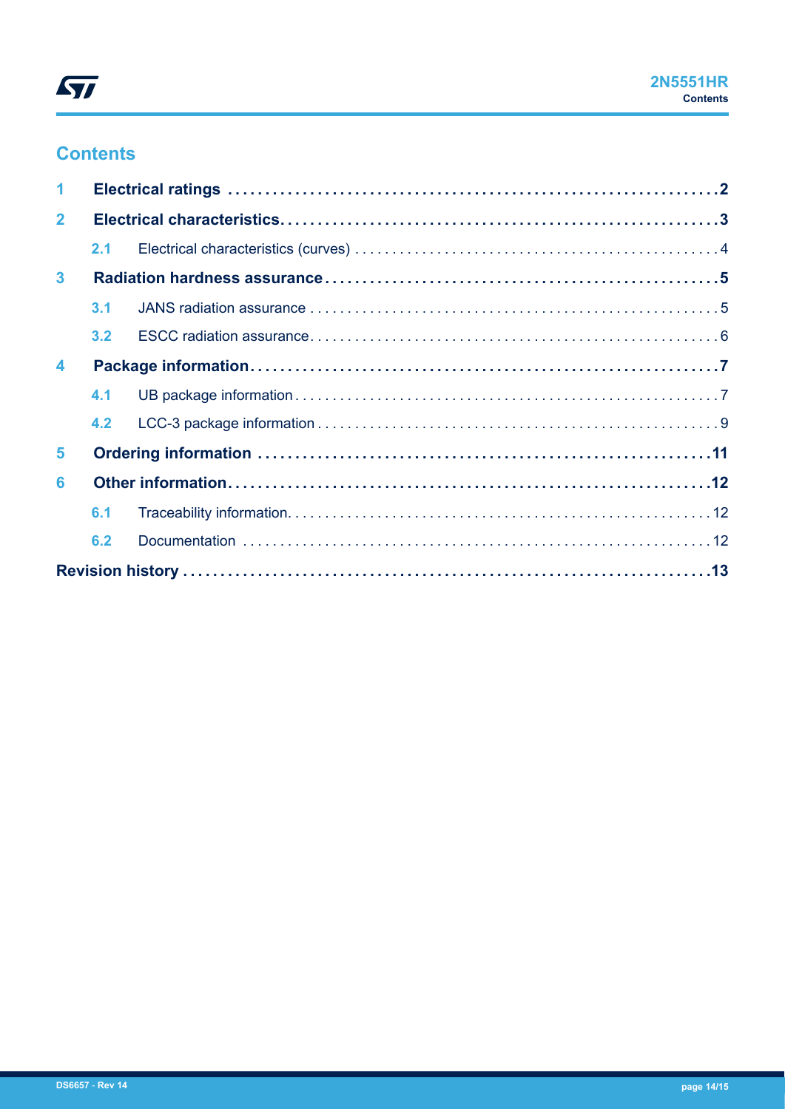## **Contents**

| $\overline{2}$       |     |  |  |
|----------------------|-----|--|--|
|                      | 2.1 |  |  |
| $\mathbf{3}$         |     |  |  |
|                      | 3.1 |  |  |
|                      | 3.2 |  |  |
| $\blacktriangleleft$ |     |  |  |
|                      | 4.1 |  |  |
|                      | 4.2 |  |  |
| 5                    |     |  |  |
| 6                    |     |  |  |
|                      | 6.1 |  |  |
|                      | 6.2 |  |  |
|                      |     |  |  |